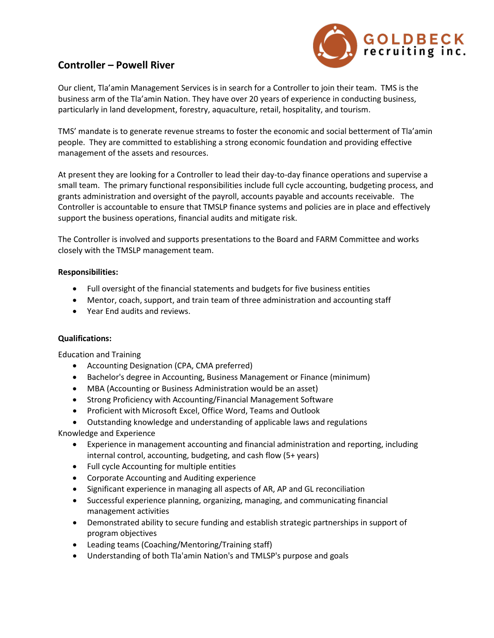

## **Controller – Powell River**

Our client, Tla'amin Management Services is in search for a Controller to join their team. TMS is the business arm of the Tla'amin Nation. They have over 20 years of experience in conducting business, particularly in land development, forestry, aquaculture, retail, hospitality, and tourism.

TMS' mandate is to generate revenue streams to foster the economic and social betterment of Tla'amin people. They are committed to establishing a strong economic foundation and providing effective management of the assets and resources.

At present they are looking for a Controller to lead their day-to-day finance operations and supervise a small team. The primary functional responsibilities include full cycle accounting, budgeting process, and grants administration and oversight of the payroll, accounts payable and accounts receivable. The Controller is accountable to ensure that TMSLP finance systems and policies are in place and effectively support the business operations, financial audits and mitigate risk.

The Controller is involved and supports presentations to the Board and FARM Committee and works closely with the TMSLP management team.

## **Responsibilities:**

- Full oversight of the financial statements and budgets for five business entities
- Mentor, coach, support, and train team of three administration and accounting staff
- Year End audits and reviews.

## **Qualifications:**

Education and Training

- Accounting Designation (CPA, CMA preferred)
- Bachelor's degree in Accounting, Business Management or Finance (minimum)
- MBA (Accounting or Business Administration would be an asset)
- Strong Proficiency with Accounting/Financial Management Software
- Proficient with Microsoft Excel, Office Word, Teams and Outlook
- Outstanding knowledge and understanding of applicable laws and regulations

Knowledge and Experience

- Experience in management accounting and financial administration and reporting, including internal control, accounting, budgeting, and cash flow (5+ years)
- Full cycle Accounting for multiple entities
- Corporate Accounting and Auditing experience
- Significant experience in managing all aspects of AR, AP and GL reconciliation
- Successful experience planning, organizing, managing, and communicating financial management activities
- Demonstrated ability to secure funding and establish strategic partnerships in support of program objectives
- Leading teams (Coaching/Mentoring/Training staff)
- Understanding of both Tla'amin Nation's and TMLSP's purpose and goals